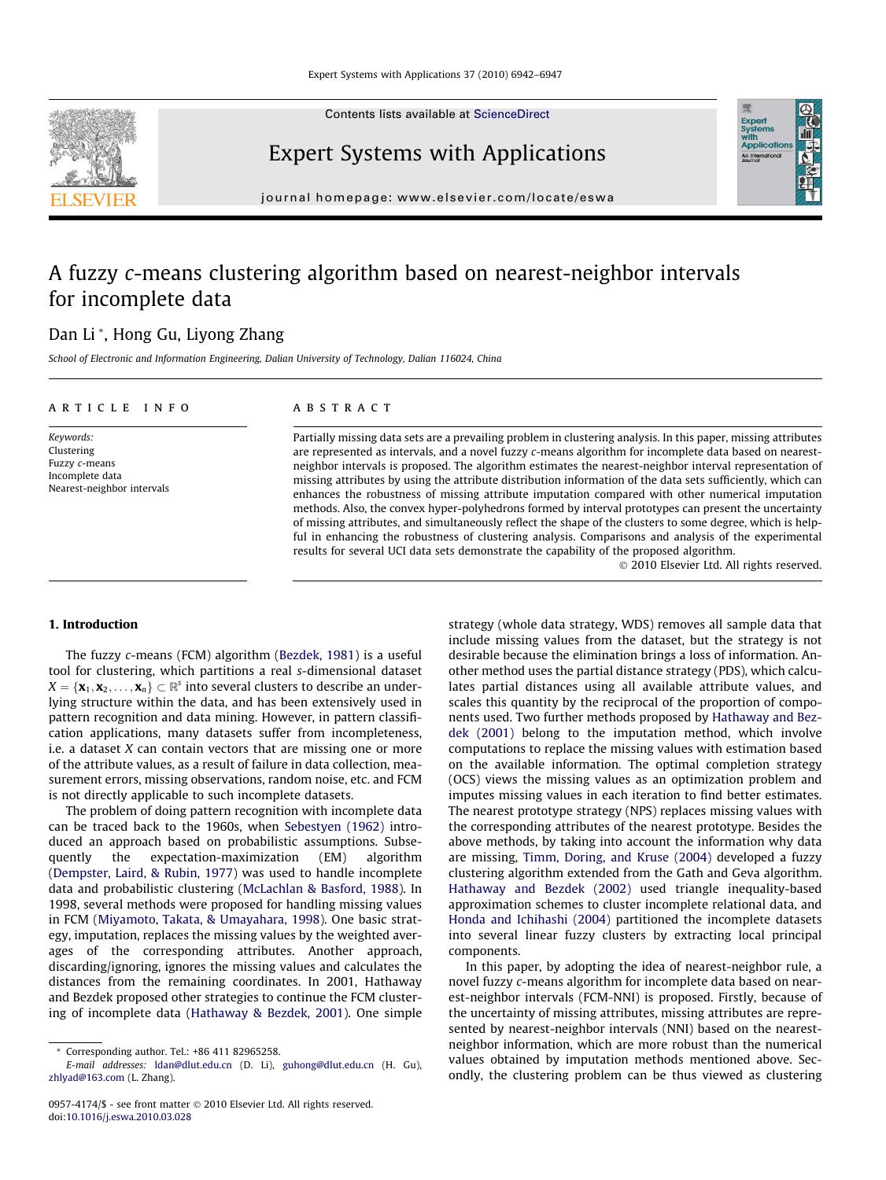Contents lists available at [ScienceDirect](http://www.sciencedirect.com/science/journal/09574174)



# Expert Systems with Applications

journal homepage: [www.elsevier.com/locate/eswa](http://www.elsevier.com/locate/eswa)

# A fuzzy c-means clustering algorithm based on nearest-neighbor intervals for incomplete data

# Dan Li \*, Hong Gu, Liyong Zhang

School of Electronic and Information Engineering, Dalian University of Technology, Dalian 116024, China

# article info

Keywords: Clustering Fuzzy c-means Incomplete data Nearest-neighbor intervals

#### ABSTRACT

Partially missing data sets are a prevailing problem in clustering analysis. In this paper, missing attributes are represented as intervals, and a novel fuzzy c-means algorithm for incomplete data based on nearestneighbor intervals is proposed. The algorithm estimates the nearest-neighbor interval representation of missing attributes by using the attribute distribution information of the data sets sufficiently, which can enhances the robustness of missing attribute imputation compared with other numerical imputation methods. Also, the convex hyper-polyhedrons formed by interval prototypes can present the uncertainty of missing attributes, and simultaneously reflect the shape of the clusters to some degree, which is helpful in enhancing the robustness of clustering analysis. Comparisons and analysis of the experimental results for several UCI data sets demonstrate the capability of the proposed algorithm.

- 2010 Elsevier Ltd. All rights reserved.

**Exper**<br>Syster

## 1. Introduction

The fuzzy c-means (FCM) algorithm ([Bezdek, 1981\)](#page--1-0) is a useful tool for clustering, which partitions a real s-dimensional dataset  $X = \{ \mathbf{x}_1, \mathbf{x}_2, \ldots, \mathbf{x}_n \} \subset \mathbb{R}^s$  into several clusters to describe an underlying structure within the data, and has been extensively used in pattern recognition and data mining. However, in pattern classification applications, many datasets suffer from incompleteness, i.e. a dataset X can contain vectors that are missing one or more of the attribute values, as a result of failure in data collection, measurement errors, missing observations, random noise, etc. and FCM is not directly applicable to such incomplete datasets.

The problem of doing pattern recognition with incomplete data can be traced back to the 1960s, when [Sebestyen \(1962\)](#page--1-0) introduced an approach based on probabilistic assumptions. Subsequently the expectation-maximization (EM) algorithm ([Dempster, Laird, & Rubin, 1977\)](#page--1-0) was used to handle incomplete data and probabilistic clustering [\(McLachlan & Basford, 1988](#page--1-0)). In 1998, several methods were proposed for handling missing values in FCM ([Miyamoto, Takata, & Umayahara, 1998](#page--1-0)). One basic strategy, imputation, replaces the missing values by the weighted averages of the corresponding attributes. Another approach, discarding/ignoring, ignores the missing values and calculates the distances from the remaining coordinates. In 2001, Hathaway and Bezdek proposed other strategies to continue the FCM clustering of incomplete data [\(Hathaway & Bezdek, 2001](#page--1-0)). One simple strategy (whole data strategy, WDS) removes all sample data that include missing values from the dataset, but the strategy is not desirable because the elimination brings a loss of information. Another method uses the partial distance strategy (PDS), which calculates partial distances using all available attribute values, and scales this quantity by the reciprocal of the proportion of components used. Two further methods proposed by [Hathaway and Bez](#page--1-0)[dek \(2001\)](#page--1-0) belong to the imputation method, which involve computations to replace the missing values with estimation based on the available information. The optimal completion strategy (OCS) views the missing values as an optimization problem and imputes missing values in each iteration to find better estimates. The nearest prototype strategy (NPS) replaces missing values with the corresponding attributes of the nearest prototype. Besides the above methods, by taking into account the information why data are missing, [Timm, Doring, and Kruse \(2004\)](#page--1-0) developed a fuzzy clustering algorithm extended from the Gath and Geva algorithm. [Hathaway and Bezdek \(2002\)](#page--1-0) used triangle inequality-based approximation schemes to cluster incomplete relational data, and [Honda and Ichihashi \(2004\)](#page--1-0) partitioned the incomplete datasets into several linear fuzzy clusters by extracting local principal components.

In this paper, by adopting the idea of nearest-neighbor rule, a novel fuzzy c-means algorithm for incomplete data based on nearest-neighbor intervals (FCM-NNI) is proposed. Firstly, because of the uncertainty of missing attributes, missing attributes are represented by nearest-neighbor intervals (NNI) based on the nearestneighbor information, which are more robust than the numerical values obtained by imputation methods mentioned above. Secondly, the clustering problem can be thus viewed as clustering

<sup>\*</sup> Corresponding author. Tel.: +86 411 82965258.

E-mail addresses: [ldan@dlut.edu.cn](mailto:ldan@dlut.edu.cn) (D. Li), [guhong@dlut.edu.cn](mailto:guhong@dlut.edu.cn) (H. Gu), [zhlyad@163.com](mailto:zhlyad@163.com) (L. Zhang).

<sup>0957-4174/\$ -</sup> see front matter © 2010 Elsevier Ltd. All rights reserved. doi:[10.1016/j.eswa.2010.03.028](http://dx.doi.org/10.1016/j.eswa.2010.03.028)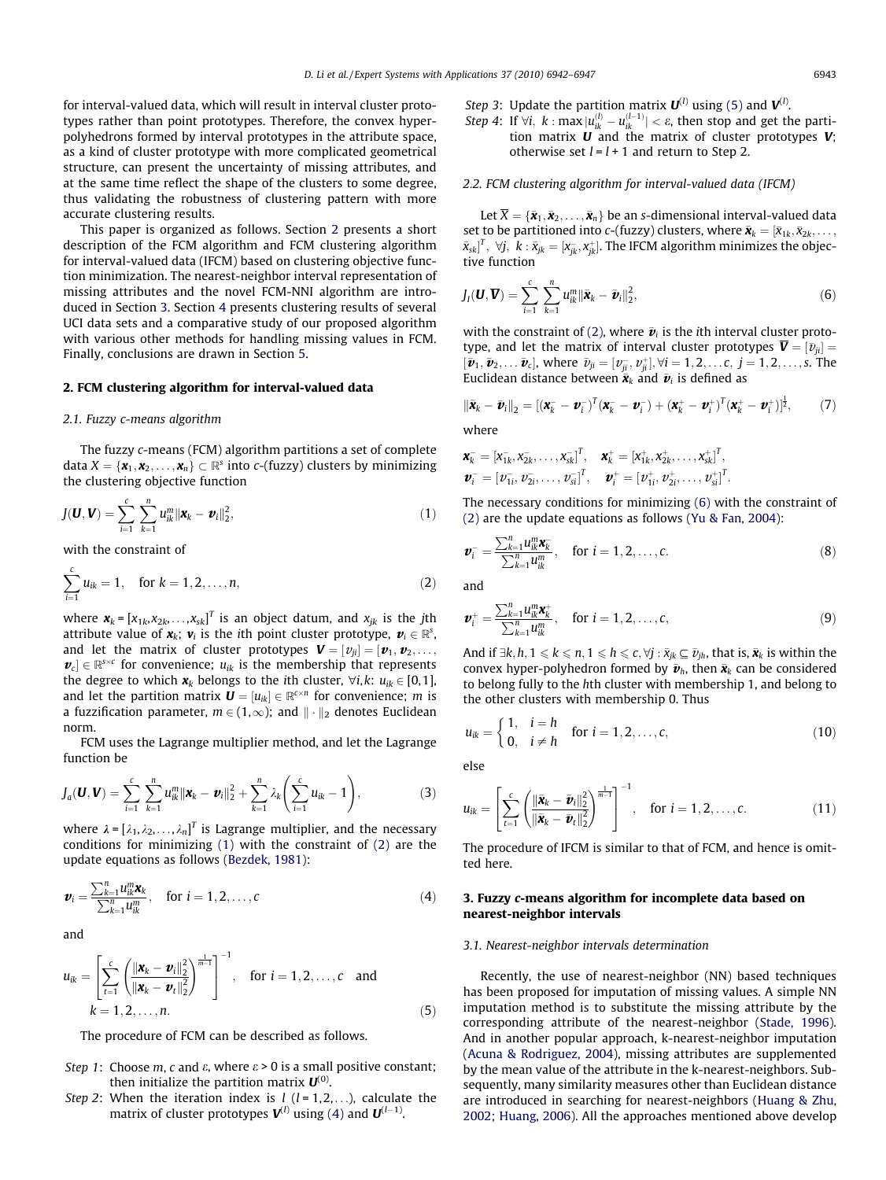for interval-valued data, which will result in interval cluster prototypes rather than point prototypes. Therefore, the convex hyperpolyhedrons formed by interval prototypes in the attribute space, as a kind of cluster prototype with more complicated geometrical structure, can present the uncertainty of missing attributes, and at the same time reflect the shape of the clusters to some degree, thus validating the robustness of clustering pattern with more accurate clustering results.

This paper is organized as follows. Section 2 presents a short description of the FCM algorithm and FCM clustering algorithm for interval-valued data (IFCM) based on clustering objective function minimization. The nearest-neighbor interval representation of missing attributes and the novel FCM-NNI algorithm are introduced in Section 3. Section [4](#page--1-0) presents clustering results of several UCI data sets and a comparative study of our proposed algorithm with various other methods for handling missing values in FCM. Finally, conclusions are drawn in Section [5](#page--1-0).

#### 2. FCM clustering algorithm for interval-valued data

#### 2.1. Fuzzy c-means algorithm

The fuzzy c-means (FCM) algorithm partitions a set of complete data  $X = \{x_1, x_2, \ldots, x_n\} \subset \mathbb{R}^s$  into c-(fuzzy) clusters by minimizing the clustering objective function

$$
J(\boldsymbol{U},\boldsymbol{V})=\sum_{i=1}^{c}\sum_{k=1}^{n}u_{ik}^{m}\Vert\boldsymbol{x}_{k}-\boldsymbol{v}_{i}\Vert_{2}^{2},
$$
\n(1)

with the constraint of

$$
\sum_{i=1}^{c} u_{ik} = 1, \text{ for } k = 1, 2, ..., n,
$$
 (2)

where  $\mathbf{x}_k = [x_{1k}, x_{2k}, \ldots, x_{sk}]^T$  is an object datum, and  $x_{jk}$  is the jth attribute value of  $\mathbf{x}_k$ ;  $\mathbf{v}_i$  is the ith point cluster prototype,  $\mathbf{v}_i \in \mathbb{R}^s$ , and let the matrix of cluster prototypes  $\boldsymbol{V} = [\boldsymbol{v}_{ji}] = [\boldsymbol{v}_1, \boldsymbol{v}_2, \dots, \boldsymbol{v}_N]$  $\boldsymbol{v}_c$   $\in \mathbb{R}^{s \times c}$  for convenience;  $u_{ik}$  is the membership that represents the degree to which  $x_k$  belongs to the ith cluster,  $\forall i, k: u_{ik} \in [0, 1]$ , and let the partition matrix  $\mathbf{U} = [u_{ik}] \in \mathbb{R}^{c \times n}$  for convenience; *m* is a fuzzification parameter,  $m \in (1,\infty)$ ; and  $\|\cdot\|_2$  denotes Euclidean norm.

FCM uses the Lagrange multiplier method, and let the Lagrange function be

$$
J_a(\mathbf{U}, \mathbf{V}) = \sum_{i=1}^c \sum_{k=1}^n u_{ik}^m ||\mathbf{x}_k - \mathbf{v}_i||_2^2 + \sum_{k=1}^n \lambda_k \left( \sum_{i=1}^c u_{ik} - 1 \right),
$$
 (3)

where  $\lambda = [\lambda_1, \lambda_2, \ldots, \lambda_n]^T$  is Lagrange multiplier, and the necessary conditions for minimizing (1) with the constraint of (2) are the update equations as follows [\(Bezdek, 1981](#page--1-0)):

$$
\boldsymbol{v}_{i} = \frac{\sum_{k=1}^{n} u_{ik}^{m} \mathbf{x}_{k}}{\sum_{k=1}^{n} u_{ik}^{m}}, \text{ for } i = 1, 2, ..., c
$$
 (4)

and

$$
u_{ik} = \left[\sum_{t=1}^{c} \left(\frac{\|\mathbf{x}_{k} - \mathbf{v}_{i}\|_{2}^{2}}{\|\mathbf{x}_{k} - \mathbf{v}_{t}\|_{2}^{2}}\right)^{\frac{1}{m-1}}\right]^{-1}, \text{ for } i = 1, 2, ..., c \text{ and} k = 1, 2, ..., n.
$$
 (5)

The procedure of FCM can be described as follows.

- Step 1: Choose m, c and  $\varepsilon$ , where  $\varepsilon > 0$  is a small positive constant; then initialize the partition matrix  $U^{(0)}$ .
- Step 2: When the iteration index is  $l$  ( $l = 1, 2, \ldots$ ), calculate the matrix of cluster prototypes  ${\bf V}^{(l)}$  using (4) and  ${\bf U}^{(l-1)}$ .

*Step 3*: Update the partition matrix  $\boldsymbol{U}^{(l)}$  using (5) and  $\boldsymbol{V}^{(l)}$ .

Step 4: If  $\forall i, k : \max |u_{ik}^{(l)} - u_{ik}^{(l-1)}| < \varepsilon$ , then stop and get the partition matrix  $\boldsymbol{U}$  and the matrix of cluster prototypes  $\boldsymbol{V}$ : otherwise set  $l = l + 1$  and return to Step 2.

# 2.2. FCM clustering algorithm for interval-valued data (IFCM)

Let  $\overline{X} = \{\bar{\mathbf{x}}_1, \bar{\mathbf{x}}_2, \ldots, \bar{\mathbf{x}}_n\}$  be an s-dimensional interval-valued data set to be partitioned into c-(fuzzy) clusters, where  $\bar{\bm{x}}_k = [\bar{x}_{1k}, \bar{x}_{2k}, \dots]$  $\bar{{\mathbf{x}}}_{\text{sk}}|^T, \,\, \forall j, \,\, k: \bar{{\mathbf{x}}}_{jk} = [{\mathbf{x}}_{jk}^-, {\mathbf{x}}_{jk}^+].$  The IFCM algorithm minimizes the objective function

$$
J_I(\boldsymbol{U}, \overline{\boldsymbol{V}}) = \sum_{i=1}^c \sum_{k=1}^n u_{ik}^m ||\bar{\boldsymbol{x}}_k - \bar{\boldsymbol{v}}_i||_2^2, \tag{6}
$$

with the constraint of (2), where  $\bar{\bm{v}}_i$  is the ith interval cluster prototype, and let the matrix of interval cluster prototypes  $\overline{\bm{V}} = [\bar{\nu}_{ji}] =$  $[\bar{\bm{v}}_1, \bar{\bm{v}}_2, \dots \bar{\bm{v}}_c]$ , where  $\bar{v}_{ji} = [v_{ji}^-, v_{ji}^+]$ ,  $\forall i = 1, 2, \dots, c, j = 1, 2, \dots, s$ . The Euclidean distance between  $\bar{\mathbf{x}}_k$  and  $\bar{\mathbf{v}}_i$  is defined as

$$
\|\bar{\boldsymbol{x}}_k-\bar{\boldsymbol{v}}_i\|_2=[(\boldsymbol{x}_k^--\boldsymbol{v}_i^-)^T(\boldsymbol{x}_k^--\boldsymbol{v}_i^-)+(\boldsymbol{x}_k^+-\boldsymbol{v}_i^+)^T(\boldsymbol{x}_k^+-\boldsymbol{v}_i^+)]^{\frac{1}{2}},\qquad(7)
$$

where

$$
\mathbf{x}_{k}^{-} = [\mathbf{x}_{1k}^{-}, \mathbf{x}_{2k}^{-}, \dots, \mathbf{x}_{sk}^{-}]^{T}, \quad \mathbf{x}_{k}^{+} = [\mathbf{x}_{1k}^{+}, \mathbf{x}_{2k}^{+}, \dots, \mathbf{x}_{sk}^{+}]^{T},
$$

$$
\mathbf{v}_{i}^{-} = [\mathbf{v}_{1i}^{-}, \mathbf{v}_{2i}^{-}, \dots, \mathbf{v}_{si}^{-}]^{T}, \quad \mathbf{v}_{i}^{+} = [\mathbf{v}_{1i}^{+}, \mathbf{v}_{2i}^{+}, \dots, \mathbf{v}_{si}^{+}]^{T}.
$$

The necessary conditions for minimizing (6) with the constraint of (2) are the update equations as follows ([Yu & Fan, 2004\)](#page--1-0):

$$
\boldsymbol{v}_i^- = \frac{\sum_{k=1}^n u_{ik}^m \boldsymbol{x}_k^-}{\sum_{k=1}^n u_{ik}^m}, \quad \text{for } i = 1, 2, \dots, c.
$$
 (8)

and

$$
\boldsymbol{v}_{i}^{+} = \frac{\sum_{k=1}^{n} u_{ik}^{m} \boldsymbol{x}_{k}^{+}}{\sum_{k=1}^{n} u_{ik}^{m}}, \text{ for } i = 1, 2, ..., c,
$$
 (9)

And if  $\exists k, h, 1 \leqslant k \leqslant n, 1 \leqslant h \leqslant c, \forall j : \bar{x}_{jk} \subseteq \bar{\nu}_{jh}$ , that is,  $\bar{\mathbf{x}}_k$  is within the convex hyper-polyhedron formed by  $\bar{\bm{v}}_h$ , then  $\bar{\bm{x}}_k$  can be considered to belong fully to the hth cluster with membership 1, and belong to the other clusters with membership 0. Thus

$$
u_{ik} = \begin{cases} 1, & i = h \\ 0, & i \neq h \end{cases} \text{ for } i = 1, 2, ..., c,
$$
 (10)

else

$$
u_{ik} = \left[\sum_{t=1}^{c} \left(\frac{\|\bar{\mathbf{x}}_k - \bar{\mathbf{v}}_t\|_2^2}{\|\bar{\mathbf{x}}_k - \bar{\mathbf{v}}_t\|_2^2}\right)^{\frac{1}{m-1}}\right]^{-1}, \quad \text{for } i = 1, 2, \dots, c.
$$
 (11)

The procedure of IFCM is similar to that of FCM, and hence is omitted here.

## 3. Fuzzy c-means algorithm for incomplete data based on nearest-neighbor intervals

## 3.1. Nearest-neighbor intervals determination

Recently, the use of nearest-neighbor (NN) based techniques has been proposed for imputation of missing values. A simple NN imputation method is to substitute the missing attribute by the corresponding attribute of the nearest-neighbor [\(Stade, 1996\)](#page--1-0). And in another popular approach, k-nearest-neighbor imputation ([Acuna & Rodriguez, 2004](#page--1-0)), missing attributes are supplemented by the mean value of the attribute in the k-nearest-neighbors. Subsequently, many similarity measures other than Euclidean distance are introduced in searching for nearest-neighbors [\(Huang & Zhu,](#page--1-0) [2002; Huang, 2006\)](#page--1-0). All the approaches mentioned above develop